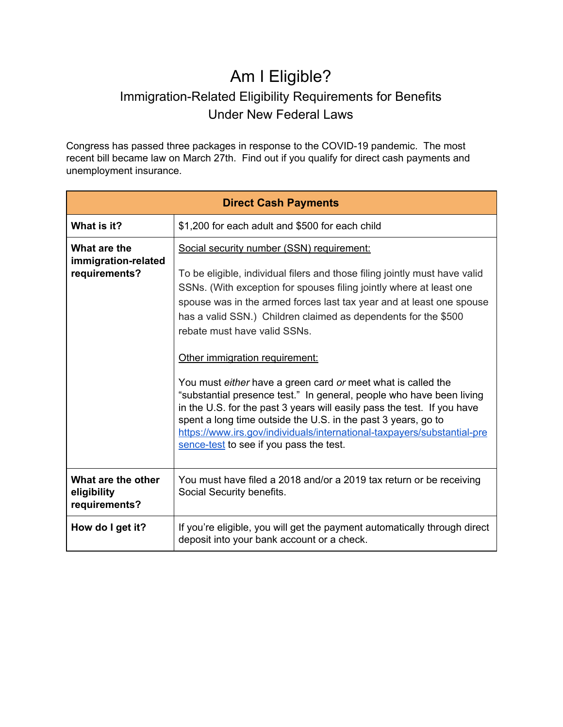## Am I Eligible? Immigration-Related Eligibility Requirements for Benefits Under New Federal Laws

Congress has passed three packages in response to the COVID-19 pandemic. The most recent bill became law on March 27th. Find out if you qualify for direct cash payments and unemployment insurance.

| <b>Direct Cash Payments</b>                          |                                                                                                                                                                                                                                                                                                                                                                                                                                                                                                                                                                                                                                                                                                                                                                                                                      |  |
|------------------------------------------------------|----------------------------------------------------------------------------------------------------------------------------------------------------------------------------------------------------------------------------------------------------------------------------------------------------------------------------------------------------------------------------------------------------------------------------------------------------------------------------------------------------------------------------------------------------------------------------------------------------------------------------------------------------------------------------------------------------------------------------------------------------------------------------------------------------------------------|--|
| What is it?                                          | \$1,200 for each adult and \$500 for each child                                                                                                                                                                                                                                                                                                                                                                                                                                                                                                                                                                                                                                                                                                                                                                      |  |
| What are the<br>immigration-related<br>requirements? | Social security number (SSN) requirement:<br>To be eligible, individual filers and those filing jointly must have valid<br>SSNs. (With exception for spouses filing jointly where at least one<br>spouse was in the armed forces last tax year and at least one spouse<br>has a valid SSN.) Children claimed as dependents for the \$500<br>rebate must have valid SSNs.<br>Other immigration requirement:<br>You must either have a green card or meet what is called the<br>"substantial presence test." In general, people who have been living<br>in the U.S. for the past 3 years will easily pass the test. If you have<br>spent a long time outside the U.S. in the past 3 years, go to<br>https://www.irs.gov/individuals/international-taxpayers/substantial-pre<br>sence-test to see if you pass the test. |  |
| What are the other<br>eligibility<br>requirements?   | You must have filed a 2018 and/or a 2019 tax return or be receiving<br>Social Security benefits.                                                                                                                                                                                                                                                                                                                                                                                                                                                                                                                                                                                                                                                                                                                     |  |
| How do I get it?                                     | If you're eligible, you will get the payment automatically through direct<br>deposit into your bank account or a check.                                                                                                                                                                                                                                                                                                                                                                                                                                                                                                                                                                                                                                                                                              |  |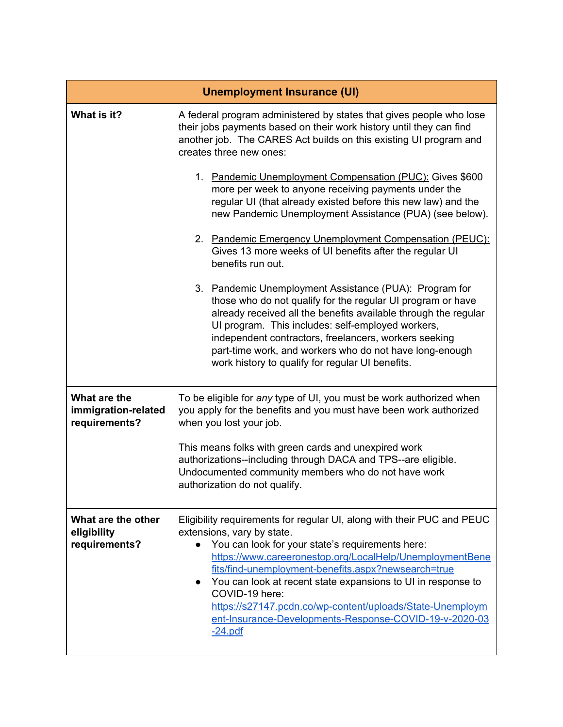| <b>Unemployment Insurance (UI)</b>                   |                                                                                                                                                                                                                                                                                                                                                                                                                                                                                                     |  |
|------------------------------------------------------|-----------------------------------------------------------------------------------------------------------------------------------------------------------------------------------------------------------------------------------------------------------------------------------------------------------------------------------------------------------------------------------------------------------------------------------------------------------------------------------------------------|--|
| What is it?                                          | A federal program administered by states that gives people who lose<br>their jobs payments based on their work history until they can find<br>another job. The CARES Act builds on this existing UI program and<br>creates three new ones:                                                                                                                                                                                                                                                          |  |
|                                                      | 1. Pandemic Unemployment Compensation (PUC): Gives \$600<br>more per week to anyone receiving payments under the<br>regular UI (that already existed before this new law) and the<br>new Pandemic Unemployment Assistance (PUA) (see below).                                                                                                                                                                                                                                                        |  |
|                                                      | 2. Pandemic Emergency Unemployment Compensation (PEUC):<br>Gives 13 more weeks of UI benefits after the regular UI<br>benefits run out.                                                                                                                                                                                                                                                                                                                                                             |  |
|                                                      | 3. Pandemic Unemployment Assistance (PUA): Program for<br>those who do not qualify for the regular UI program or have<br>already received all the benefits available through the regular<br>UI program. This includes: self-employed workers,<br>independent contractors, freelancers, workers seeking<br>part-time work, and workers who do not have long-enough<br>work history to qualify for regular UI benefits.                                                                               |  |
| What are the<br>immigration-related<br>requirements? | To be eligible for any type of UI, you must be work authorized when<br>you apply for the benefits and you must have been work authorized<br>when you lost your job.                                                                                                                                                                                                                                                                                                                                 |  |
|                                                      | This means folks with green cards and unexpired work<br>authorizations--including through DACA and TPS--are eligible.<br>Undocumented community members who do not have work<br>authorization do not qualify.                                                                                                                                                                                                                                                                                       |  |
| What are the other<br>eligibility<br>requirements?   | Eligibility requirements for regular UI, along with their PUC and PEUC<br>extensions, vary by state.<br>You can look for your state's requirements here:<br>https://www.careeronestop.org/LocalHelp/UnemploymentBene<br>fits/find-unemployment-benefits.aspx?newsearch=true<br>• You can look at recent state expansions to UI in response to<br>COVID-19 here:<br>https://s27147.pcdn.co/wp-content/uploads/State-Unemploym<br>ent-Insurance-Developments-Response-COVID-19-y-2020-03<br>$-24.pdf$ |  |